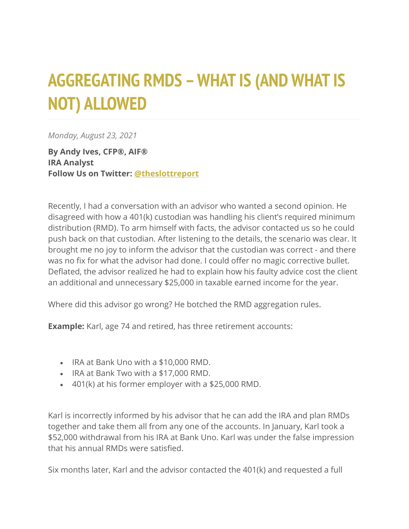## **AGGREGATING RMDS –WHAT IS (AND WHAT IS NOT) ALLOWED**

*Monday, August 23, 2021*

**By Andy Ives, CFP®, AIF® IRA Analyst Follow Us on Twitter: [@theslottreport](https://twitter.com/theslottreport)**

Recently, I had a conversation with an advisor who wanted a second opinion. He disagreed with how a 401(k) custodian was handling his client's required minimum distribution (RMD). To arm himself with facts, the advisor contacted us so he could push back on that custodian. After listening to the details, the scenario was clear. It brought me no joy to inform the advisor that the custodian was correct - and there was no fix for what the advisor had done. I could offer no magic corrective bullet. Deflated, the advisor realized he had to explain how his faulty advice cost the client an additional and unnecessary \$25,000 in taxable earned income for the year.

Where did this advisor go wrong? He botched the RMD aggregation rules.

**Example:** Karl, age 74 and retired, has three retirement accounts:

- IRA at Bank Uno with a \$10,000 RMD.
- IRA at Bank Two with a \$17,000 RMD.
- 401(k) at his former employer with a \$25,000 RMD.

Karl is incorrectly informed by his advisor that he can add the IRA and plan RMDs together and take them all from any one of the accounts. In January, Karl took a \$52,000 withdrawal from his IRA at Bank Uno. Karl was under the false impression that his annual RMDs were satisfied.

Six months later, Karl and the advisor contacted the 401(k) and requested a full